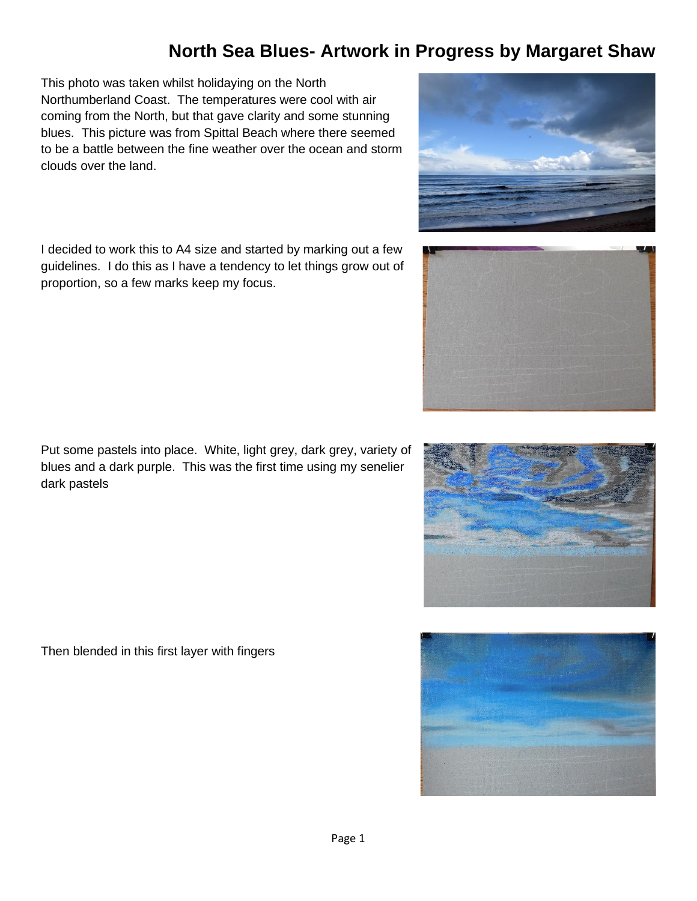This photo was taken whilst holidaying on the North Northumberland Coast. The temperatures were cool with air coming from the North, but that gave clarity and some stunning blues. This picture was from Spittal Beach where there seemed to be a battle between the fine weather over the ocean and storm clouds over the land.

I decided to work this to A4 size and started by marking out a few guidelines. I do this as I have a tendency to let things grow out of proportion, so a few marks keep my focus.

Put some pastels into place. White, light grey, dark grey, variety of blues and a dark purple. This was the first time using my senelier dark pastels

Then blended in this first layer with fingers







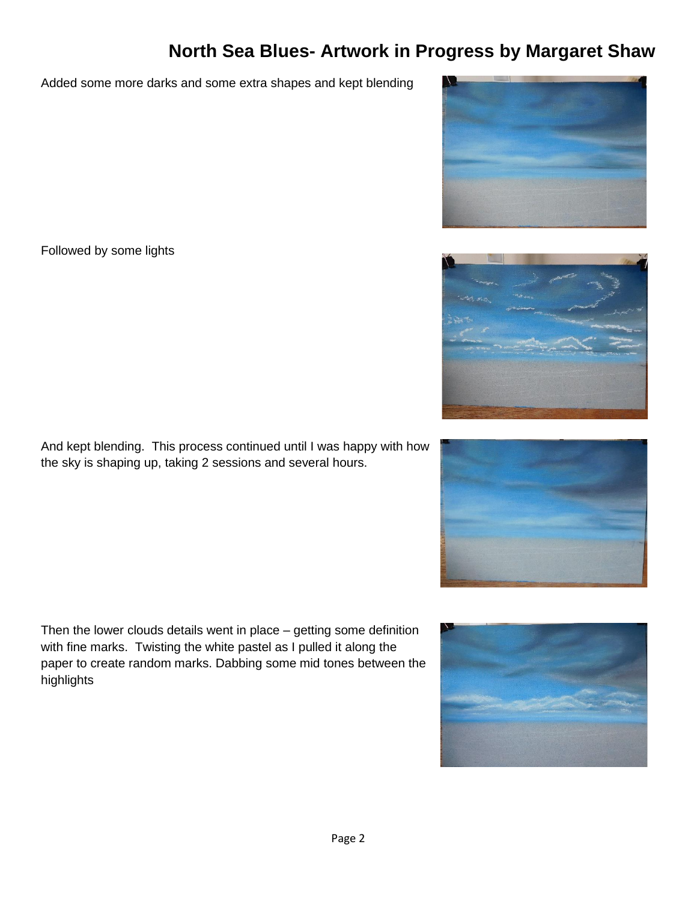Added some more darks and some extra shapes and kept blending

Followed by some lights

And kept blending. This process continued until I was happy with how the sky is shaping up, taking 2 sessions and several hours.

Then the lower clouds details went in place – getting some definition with fine marks. Twisting the white pastel as I pulled it along the paper to create random marks. Dabbing some mid tones between the highlights







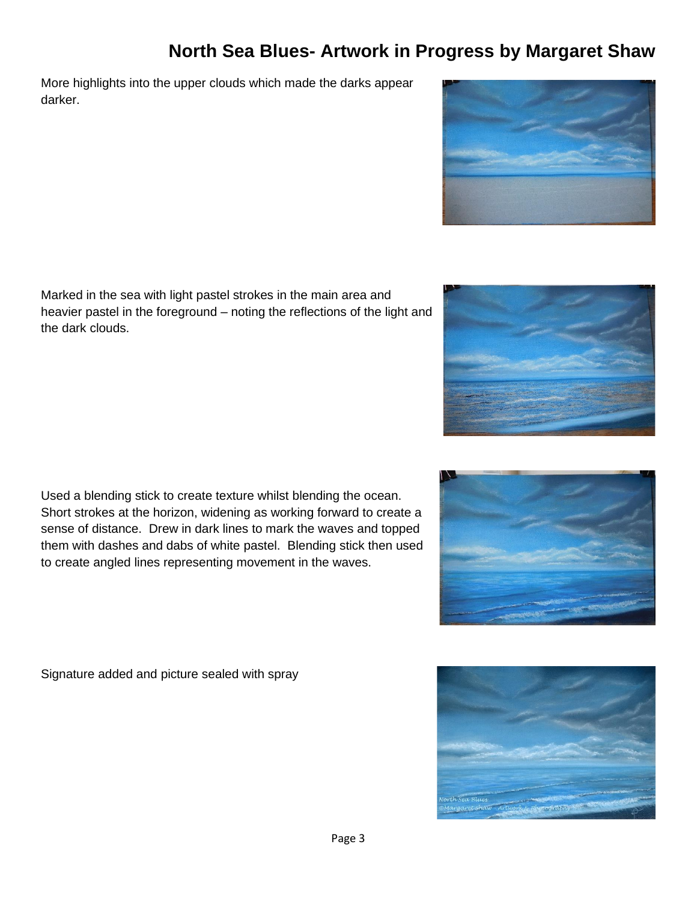More highlights into the upper clouds which made the darks appear darker.

Marked in the sea with light pastel strokes in the main area and heavier pastel in the foreground – noting the reflections of the light and the dark clouds.

Used a blending stick to create texture whilst blending the ocean. Short strokes at the horizon, widening as working forward to create a sense of distance. Drew in dark lines to mark the waves and topped them with dashes and dabs of white pastel. Blending stick then used to create angled lines representing movement in the waves.

Signature added and picture sealed with spray